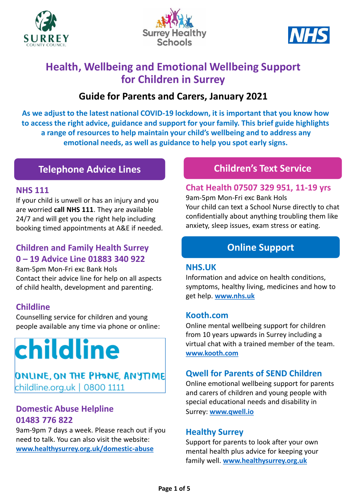





## **Health, Wellbeing and Emotional Wellbeing Support for Children in Surrey**

## **Guide for Parents and Carers, January 2021**

**As we adjust to the latest national COVID-19 lockdown, it is important that you know how to access the right advice, guidance and support for your family. This brief guide highlights a range of resources to help maintain your child's wellbeing and to address any emotional needs, as well as guidance to help you spot early signs.** 

## **Telephone Advice Lines**

#### **NHS 111**

If your child is unwell or has an injury and you are worried **call NHS 111**. They are available 24/7 and will get you the right help including booking timed appointments at A&E if needed.

## **Children and Family Health Surrey 0 – 19 Advice Line 01883 340 922**

8am-5pm Mon-Fri exc Bank Hols Contact their advice line for help on all aspects of child health, development and parenting.

## **Childline**

Counselling service for children and young people available any time via phone or online:

# childline

## ONLINE, ON THE PHONE, ANYTIME childline.org.uk | 0800 1111

### **Domestic Abuse Helpline 01483 776 822**

9am-9pm 7 days a week. Please reach out if you need to talk. You can also visit the website: **[www.healthysurrey.org.uk/domestic-abuse](http://www.healthysurrey.org.uk/domestic-abuse)**

## **Children's Text Service**

#### **Chat Health 07507 329 951, 11-19 yrs**

9am-5pm Mon-Fri exc Bank Hols Your child can text a School Nurse directly to chat confidentially about anything troubling them like anxiety, sleep issues, exam stress or eating.

## **Online Support**

#### **NHS.UK**

Information and advice on health conditions, symptoms, healthy living, medicines and how to get help. **[www.nhs.uk](http://www.nhs.uk/)**

#### **Kooth.com**

Online mental wellbeing support for children from 10 years upwards in Surrey including a virtual chat with a trained member of the team. **[www.kooth.com](http://www.kooth.com/)**

#### **Qwell for Parents of SEND Children**

Online emotional wellbeing support for parents and carers of children and young people with special educational needs and disability in Surrey: **[www.qwell.io](http://www.qwell.io/)**

#### **Healthy Surrey**

Support for parents to look after your own mental health plus advice for keeping your family well. **[www.healthysurrey.org.uk](http://www.healthysurrey.org.uk/)**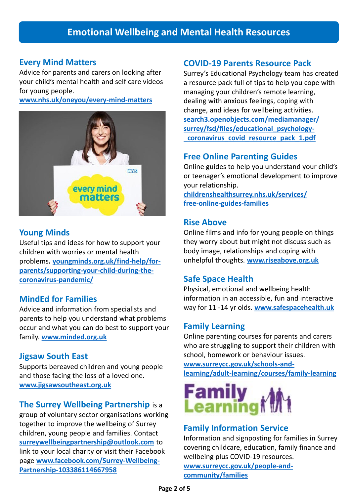#### **Every Mind Matters**

Advice for parents and carers on looking after your child's mental health and self care videos for young people.

**[www.nhs.uk/oneyou/every-mind-matters](http://www.nhs.uk/oneyou/every-mind-matters)**



#### **Young Minds**

Useful tips and ideas for how to support your children with worries or mental health problems**. youngminds.org.uk/find-help/for[parents/supporting-your-child-during-the](https://youngminds.org.uk/find-help/for-parents/supporting-your-child-during-the-coronavirus-pandemic/)coronavirus-pandemic/**

#### **MindEd for Families**

Advice and information from specialists and parents to help you understand what problems occur and what you can do best to support your family. **[www.minded.org.uk](http://www.minded.org.uk/)**

#### **Jigsaw South East**

Supports bereaved children and young people and those facing the loss of a loved one. **[www.jigsawsoutheast.org.uk](http://www.jigsawsoutheast.org.uk/)**

#### **The Surrey Wellbeing Partnership** is a

group of voluntary sector organisations working together to improve the wellbeing of Surrey children, young people and families. Contact **[surreywellbeingpartnership@outlook.com](mailto:surreywellbeingpartnership@outlook.com)** to link to your local charity or visit their Facebook page **[www.facebook.com/Surrey-Wellbeing-](http://www.facebook.com/Surrey-Wellbeing-Partnership-103386114667958)Partnership-103386114667958**

#### **COVID-19 Parents Resource Pack**

Surrey's Educational Psychology team has created a resource pack full of tips to help you cope with managing your children's remote learning, dealing with anxious feelings, coping with change, and ideas for wellbeing activities. **[search3.openobjects.com/mediamanager/](https://search3.openobjects.com/mediamanager/surrey/fsd/files/educational_psychology-_coronavirus_covid_resource_pack_1.pdf) surrey/fsd/files/educational\_psychology- \_coronavirus\_covid\_resource\_pack\_1.pdf**

#### **Free Online Parenting Guides**

Online guides to help you understand your child's or teenager's emotional development to improve your relationship.

**[childrenshealthsurrey.nhs.uk/services/](https://childrenshealthsurrey.nhs.uk/services/free-online-guides-families) free-online-guides-families**

#### **Rise Above**

Online films and info for young people on things they worry about but might not discuss such as body image, relationships and coping with unhelpful thoughts. **[www.riseabove.org.uk](http://www.riseabove.org.uk/)**

#### **Safe Space Health**

Physical, emotional and wellbeing health information in an accessible, fun and interactive way for 11 -14 yr olds. **[www.safespacehealth.uk](http://www.safespacehealth.uk/)**

#### **Family Learning**

Online parenting courses for parents and carers who are struggling to support their children with school, homework or behaviour issues.

**www.surreycc.gov.uk/schools-and[learning/adult-learning/courses/family-learning](http://www.surreycc.gov.uk/schools-and-learning/adult-learning/courses/family-learning)**



#### **Family Information Service**

Information and signposting for families in Surrey covering childcare, education, family finance and wellbeing plus COVID-19 resources. **[www.surreycc.gov.uk/people-and](https://www.surreycc.gov.uk/people-and-community/families)community/families**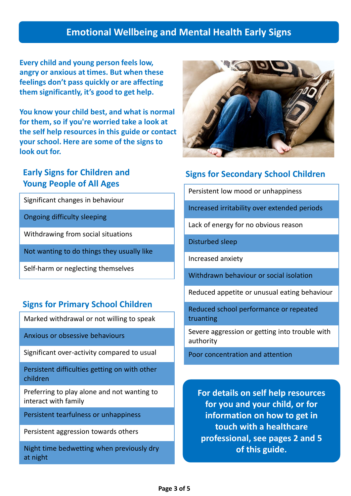## **Emotional Wellbeing and Mental Health Early Signs**

**Every child and young person feels low, angry or anxious at times. But when these feelings don't pass quickly or are affecting them significantly, it's good to get help.** 

**You know your child best, and what is normal for them, so if you're worried take a look at the self help resources in this guide or contact your school. Here are some of the signs to look out for.**

## **Early Signs for Children and Young People of All Ages**

Significant changes in behaviour

Ongoing difficulty sleeping

Withdrawing from social situations

Not wanting to do things they usually like

Self-harm or neglecting themselves

## **Signs for Primary School Children**

Marked withdrawal or not willing to speak

Anxious or obsessive behaviours

Significant over-activity compared to usual

Persistent difficulties getting on with other children

Preferring to play alone and not wanting to interact with family

Persistent tearfulness or unhappiness

Persistent aggression towards others

Night time bedwetting when previously dry at night



## **Signs for Secondary School Children**

Persistent low mood or unhappiness

Increased irritability over extended periods

Lack of energy for no obvious reason

Disturbed sleep

Increased anxiety

Withdrawn behaviour or social isolation

Reduced appetite or unusual eating behaviour

Reduced school performance or repeated truanting

Severe aggression or getting into trouble with authority

Poor concentration and attention

**For details on self help resources for you and your child, or for information on how to get in touch with a healthcare professional, see pages 2 and 5 of this guide.**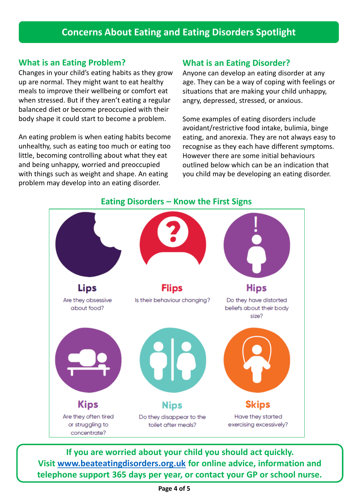## **Concerns About Eating and Eating Disorders Spotlight**

#### **What is an Eating Problem?**

Changes in your child's eating habits as they grow up are normal. They might want to eat healthy meals to improve their wellbeing or comfort eat when stressed. But if they aren't eating a regular balanced diet or become preoccupied with their body shape it could start to become a problem.

An eating problem is when eating habits become unhealthy, such as eating too much or eating too little, becoming controlling about what they eat and being unhappy, worried and preoccupied with things such as weight and shape. An eating problem may develop into an eating disorder.

#### **What is an Eating Disorder?**

Anyone can develop an eating disorder at any age. They can be a way of coping with feelings or situations that are making your child unhappy, angry, depressed, stressed, or anxious.

Some examples of eating disorders include avoidant/restrictive food intake, bulimia, binge eating, and anorexia. They are not always easy to recognise as they each have different symptoms. However there are some initial behaviours outlined below which can be an indication that you child may be developing an eating disorder.



**If you are worried about your child you should act quickly. Visit [www.beateatingdisorders.org.uk](http://www.beateatingdisorders.org.uk/) for online advice, information and telephone support 365 days per year, or contact your GP or school nurse.** 

#### **Eating Disorders – Know the First Signs**